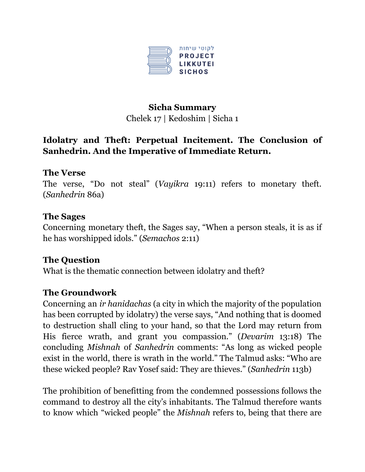

# **Sicha Summary** Chelek 17 | Kedoshim | Sicha 1

## **Idolatry and Theft: Perpetual Incitement. The Conclusion of Sanhedrin. And the Imperative of Immediate Return.**

## **The Verse**

The verse, "Do not steal" (*Vayikra* 19:11) refers to monetary theft. (*Sanhedrin* 86a)

#### **The Sages**

Concerning monetary theft, the Sages say, "When a person steals, it is as if he has worshipped idols." (*Semachos* 2:11)

### **The Question**

What is the thematic connection between idolatry and theft?

### **The Groundwork**

Concerning an *ir hanidachas* (a city in which the majority of the population has been corrupted by idolatry) the verse says, "And nothing that is doomed to destruction shall cling to your hand, so that the Lord may return from His fierce wrath, and grant you compassion." (*Devarim* 13:18) The concluding *Mishnah* of *Sanhedrin* comments: "As long as wicked people exist in the world, there is wrath in the world." The Talmud asks: "Who are these wicked people? Rav Yosef said: They are thieves." (*Sanhedrin* 113b)

The prohibition of benefitting from the condemned possessions follows the command to destroy all the city's inhabitants. The Talmud therefore wants to know which "wicked people" the *Mishnah* refers to, being that there are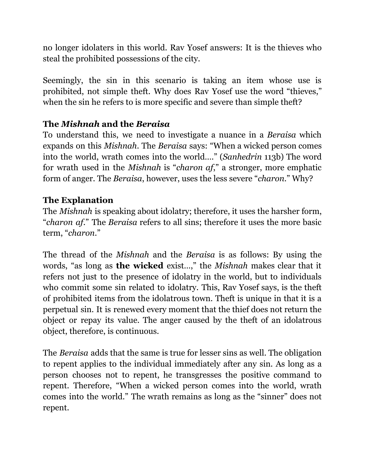no longer idolaters in this world. Rav Yosef answers: It is the thieves who steal the prohibited possessions of the city.

Seemingly, the sin in this scenario is taking an item whose use is prohibited, not simple theft. Why does Rav Yosef use the word "thieves," when the sin he refers to is more specific and severe than simple theft?

## **The** *Mishnah* **and the** *Beraisa*

To understand this, we need to investigate a nuance in a *Beraisa* which expands on this *Mishnah*. The *Beraisa* says: "When a wicked person comes into the world, wrath comes into the world…." (*Sanhedrin* 113b) The word for wrath used in the *Mishnah* is "*charon af*," a stronger, more emphatic form of anger. The *Beraisa*, however, uses the less severe "*charon*." Why?

### **The Explanation**

The *Mishnah* is speaking about idolatry; therefore, it uses the harsher form, "*charon af*." The *Beraisa* refers to all sins; therefore it uses the more basic term, "*charon*."

The thread of the *Mishnah* and the *Beraisa* is as follows: By using the words, "as long as **the wicked** exist…," the *Mishnah* makes clear that it refers not just to the presence of idolatry in the world, but to individuals who commit some sin related to idolatry. This, Rav Yosef says, is the theft of prohibited items from the idolatrous town. Theft is unique in that it is a perpetual sin. It is renewed every moment that the thief does not return the object or repay its value. The anger caused by the theft of an idolatrous object, therefore, is continuous.

The *Beraisa* adds that the same is true for lesser sins as well. The obligation to repent applies to the individual immediately after any sin. As long as a person chooses not to repent, he transgresses the positive command to repent. Therefore, "When a wicked person comes into the world, wrath comes into the world." The wrath remains as long as the "sinner" does not repent.